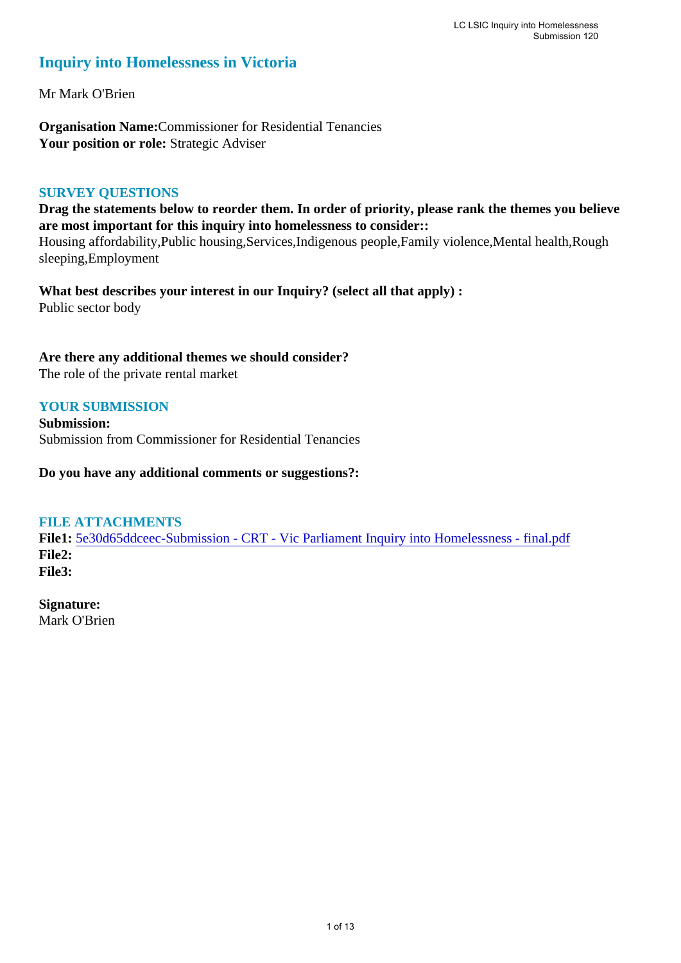### **Inquiry into Homelessness in Victoria**

Mr Mark O'Brien

**Organisation Name:**Commissioner for Residential Tenancies Your position or role: Strategic Adviser

#### **SURVEY QUESTIONS**

**Drag the statements below to reorder them. In order of priority, please rank the themes you believe are most important for this inquiry into homelessness to consider::** 

Housing affordability,Public housing,Services,Indigenous people,Family violence,Mental health,Rough sleeping,Employment

**What best describes your interest in our Inquiry? (select all that apply) :**  Public sector body

#### **Are there any additional themes we should consider?**

The role of the private rental market

#### **YOUR SUBMISSION**

**Submission:**  Submission from Commissioner for Residential Tenancies

**Do you have any additional comments or suggestions?:** 

#### **FILE ATTACHMENTS**

**File1:** [5e30d65ddceec-Submission - CRT - Vic Parliament Inquiry into Homelessness - final.pdf](https://www.parliament.vic.gov.au/component/rsform/submission-view-file/c19a5873f5f8dd367b1b16d5e2f1c9ff/341a54d5c3dfc833988cdb0b2e0d9eba?Itemid=527) **File2: File3:** 

**Signature:** Mark O'Brien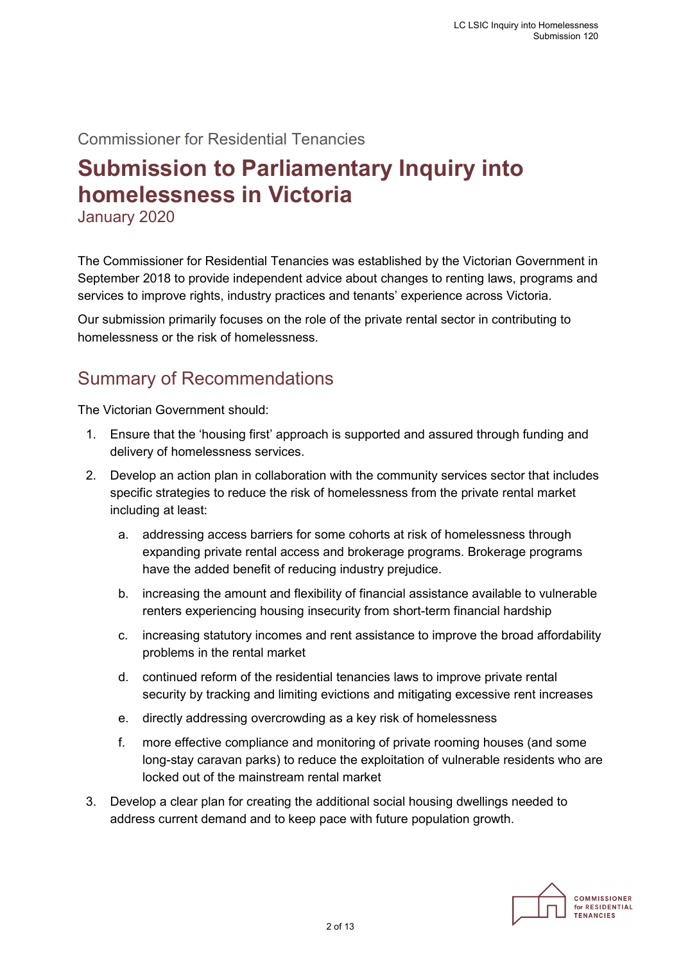### Commissioner for Residential Tenancies

# **Submission to Parliamentary Inquiry into homelessness in Victoria**

January 2020

The Commissioner for Residential Tenancies was established by the Victorian Government in September 2018 to provide independent advice about changes to renting laws, programs and services to improve rights, industry practices and tenants' experience across Victoria.

Our submission primarily focuses on the role of the private rental sector in contributing to homelessness or the risk of homelessness.

## Summary of Recommendations

The Victorian Government should:

- 1. Ensure that the 'housing first' approach is supported and assured through funding and delivery of homelessness services.
- 2. Develop an action plan in collaboration with the community services sector that includes specific strategies to reduce the risk of homelessness from the private rental market including at least:
	- a. addressing access barriers for some cohorts at risk of homelessness through expanding private rental access and brokerage programs. Brokerage programs have the added benefit of reducing industry prejudice.
	- b. increasing the amount and flexibility of financial assistance available to vulnerable renters experiencing housing insecurity from short-term financial hardship
	- c. increasing statutory incomes and rent assistance to improve the broad affordability problems in the rental market
	- d. continued reform of the residential tenancies laws to improve private rental security by tracking and limiting evictions and mitigating excessive rent increases
	- e. directly addressing overcrowding as a key risk of homelessness
	- f. more effective compliance and monitoring of private rooming houses (and some long-stay caravan parks) to reduce the exploitation of vulnerable residents who are locked out of the mainstream rental market
- 3. Develop a clear plan for creating the additional social housing dwellings needed to address current demand and to keep pace with future population growth.

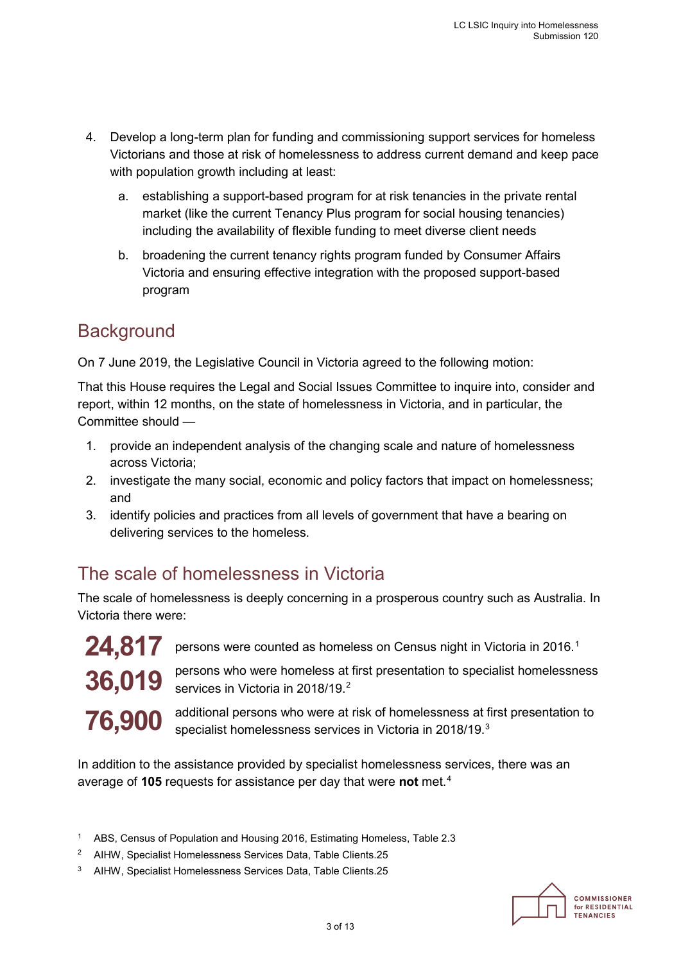- 4. Develop a long-term plan for funding and commissioning support services for homeless Victorians and those at risk of homelessness to address current demand and keep pace with population growth including at least:
	- a. establishing a support-based program for at risk tenancies in the private rental market (like the current Tenancy Plus program for social housing tenancies) including the availability of flexible funding to meet diverse client needs
	- b. broadening the current tenancy rights program funded by Consumer Affairs Victoria and ensuring effective integration with the proposed support-based program

## **Background**

On 7 June 2019, the Legislative Council in Victoria agreed to the following motion:

That this House requires the Legal and Social Issues Committee to inquire into, consider and report, within 12 months, on the state of homelessness in Victoria, and in particular, the Committee should —

- 1. provide an independent analysis of the changing scale and nature of homelessness across Victoria;
- 2. investigate the many social, economic and policy factors that impact on homelessness; and
- 3. identify policies and practices from all levels of government that have a bearing on delivering services to the homeless.

# The scale of homelessness in Victoria

The scale of homelessness is deeply concerning in a prosperous country such as Australia. In Victoria there were:



persons were counted as homeless on Census night in Victoria in 20[1](#page-2-0)6.<sup>1</sup>

persons who were homeless at first presentation to specialist homelessness services in Victoria in [2](#page-2-1)018/19.<sup>2</sup>

additional persons who were at risk of homelessness at first presentation to specialist homelessness services in Victoria in 2018/19.<sup>3</sup>

<span id="page-2-3"></span>In addition to the assistance provided by specialist homelessness services, there was an average of **105** requests for assistance per day that were **not** met.[4](#page-2-3)

- <span id="page-2-0"></span><sup>1</sup> ABS, Census of Population and Housing 2016, Estimating Homeless, Table 2.3
- <span id="page-2-1"></span><sup>2</sup> AIHW, Specialist Homelessness Services Data, Table Clients.25
- <span id="page-2-2"></span>3 AIHW, Specialist Homelessness Services Data, Table Clients.25

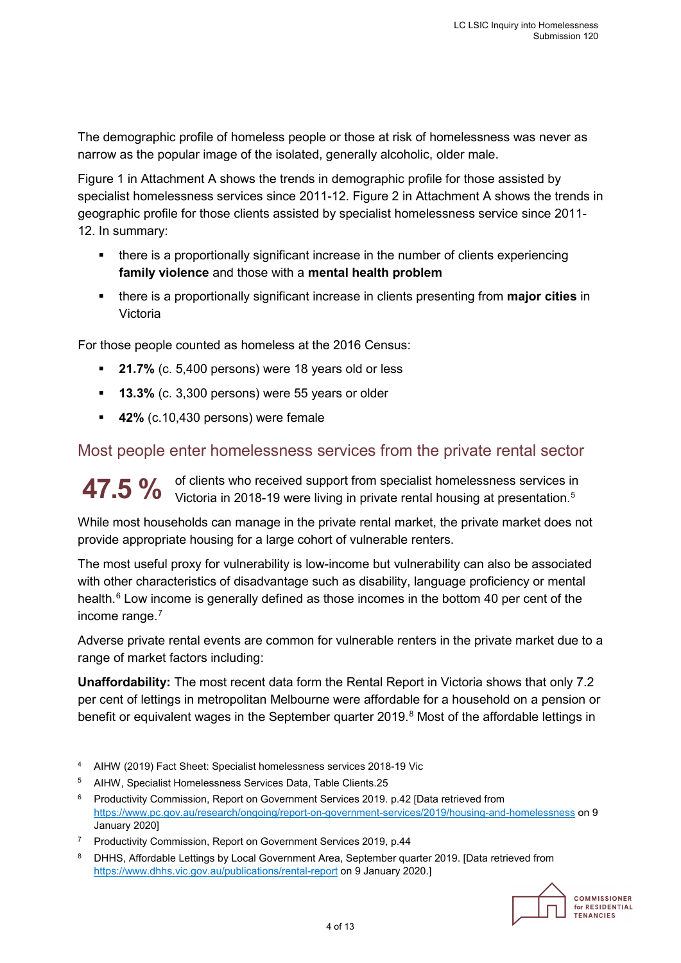The demographic profile of homeless people or those at risk of homelessness was never as narrow as the popular image of the isolated, generally alcoholic, older male.

Figure 1 in Attachment A shows the trends in demographic profile for those assisted by specialist homelessness services since 2011-12. Figure 2 in Attachment A shows the trends in geographic profile for those clients assisted by specialist homelessness service since 2011- 12. In summary:

- there is a proportionally significant increase in the number of clients experiencing **family violence** and those with a **mental health problem**
- there is a proportionally significant increase in clients presenting from **major cities** in Victoria

For those people counted as homeless at the 2016 Census:

- **21.7%** (c. 5,400 persons) were 18 years old or less
- **13.3%** (c. 3,300 persons) were 55 years or older
- **42%** (c.10,430 persons) were female

### Most people enter homelessness services from the private rental sector

of clients who received support from specialist homelessness services in  $\rm 47.5~\%$  $\rm 47.5~\%$  $\rm 47.5~\%$  of clients who received support from specialist homelessness services in a victoria in 2018-19 were living in private rental housing at presentation.<sup>5</sup>

While most households can manage in the private rental market, the private market does not provide appropriate housing for a large cohort of vulnerable renters.

The most useful proxy for vulnerability is low-income but vulnerability can also be associated with other characteristics of disadvantage such as disability, language proficiency or mental health.<sup>[6](#page-3-1)</sup> Low income is generally defined as those incomes in the bottom 40 per cent of the income range.[7](#page-3-2)

Adverse private rental events are common for vulnerable renters in the private market due to a range of market factors including:

**Unaffordability:** The most recent data form the Rental Report in Victoria shows that only 7.2 per cent of lettings in metropolitan Melbourne were affordable for a household on a pension or benefit or equivalent wages in the September quarter 2019.<sup>[8](#page-3-3)</sup> Most of the affordable lettings in

- 4 AIHW (2019) Fact Sheet: Specialist homelessness services 2018-19 Vic
- <span id="page-3-0"></span>5 AIHW, Specialist Homelessness Services Data, Table Clients.25
- <span id="page-3-1"></span>6 Productivity Commission, Report on Government Services 2019. p.42 [Data retrieved from <https://www.pc.gov.au/research/ongoing/report-on-government-services/2019/housing-and-homelessness> on 9 January 2020]
- <span id="page-3-2"></span><sup>7</sup> Productivity Commission, Report on Government Services 2019, p.44
- <span id="page-3-3"></span><sup>8</sup> DHHS, Affordable Lettings by Local Government Area, September quarter 2019. [Data retrieved from <https://www.dhhs.vic.gov.au/publications/rental-report> on 9 January 2020.]



COMMISSIONER for RESIDENTIAL **TENANCIES**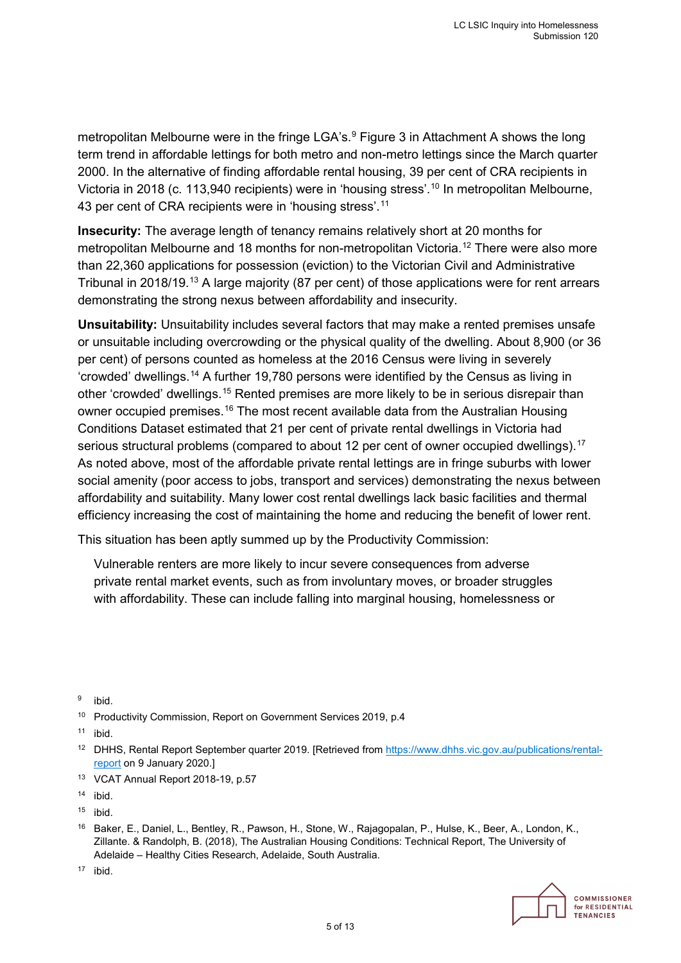metropolitan Melbourne were in the fringe LGA's.<sup>[9](#page-4-0)</sup> Figure 3 in Attachment A shows the long term trend in affordable lettings for both metro and non-metro lettings since the March quarter 2000. In the alternative of finding affordable rental housing, 39 per cent of CRA recipients in Victoria in 2018 (c. 113,940 recipients) were in 'housing stress'.<sup>[10](#page-4-1)</sup> In metropolitan Melbourne, 43 per cent of CRA recipients were in 'housing stress'.<sup>[11](#page-4-2)</sup>

**Insecurity:** The average length of tenancy remains relatively short at 20 months for metropolitan Melbourne and 18 months for non-metropolitan Victoria.<sup>[12](#page-4-3)</sup> There were also more than 22,360 applications for possession (eviction) to the Victorian Civil and Administrative Tribunal in 2018/19. $^{\rm 13}$  $^{\rm 13}$  $^{\rm 13}$  A large majority (87 per cent) of those applications were for rent arrears demonstrating the strong nexus between affordability and insecurity.

**Unsuitability:** Unsuitability includes several factors that may make a rented premises unsafe or unsuitable including overcrowding or the physical quality of the dwelling. About 8,900 (or 36 per cent) of persons counted as homeless at the 2016 Census were living in severely 'crowded' dwellings.[14](#page-4-5) A further 19,780 persons were identified by the Census as living in other 'crowded' dwellings.<sup>[15](#page-4-6)</sup> Rented premises are more likely to be in serious disrepair than owner occupied premises.<sup>[16](#page-4-7)</sup> The most recent available data from the Australian Housing Conditions Dataset estimated that 21 per cent of private rental dwellings in Victoria had serious structural problems (compared to about 12 per cent of owner occupied dwellings). [17](#page-4-8) As noted above, most of the affordable private rental lettings are in fringe suburbs with lower social amenity (poor access to jobs, transport and services) demonstrating the nexus between affordability and suitability. Many lower cost rental dwellings lack basic facilities and thermal efficiency increasing the cost of maintaining the home and reducing the benefit of lower rent.

This situation has been aptly summed up by the Productivity Commission:

Vulnerable renters are more likely to incur severe consequences from adverse private rental market events, such as from involuntary moves, or broader struggles with affordability. These can include falling into marginal housing, homelessness or

<span id="page-4-0"></span>9 ibid.

<span id="page-4-1"></span><sup>10</sup> Productivity Commission, Report on Government Services 2019, p.4

<span id="page-4-2"></span> $11$  ibid.

- <span id="page-4-3"></span><sup>12</sup> DHHS, Rental Report September quarter 2019. [Retrieved from [https://www.dhhs.vic.gov.au/publications/rental](https://www.dhhs.vic.gov.au/publications/rental-report)[report](https://www.dhhs.vic.gov.au/publications/rental-report) on 9 January 2020.]
- <span id="page-4-4"></span>13 VCAT Annual Report 2018-19, p.57

<span id="page-4-5"></span> $14$  ibid.

- <span id="page-4-6"></span> $15$  ibid.
- <span id="page-4-7"></span>16 Baker, E., Daniel, L., Bentley, R., Pawson, H., Stone, W., Rajagopalan, P., Hulse, K., Beer, A., London, K., Zillante. & Randolph, B. (2018), The Australian Housing Conditions: Technical Report, The University of Adelaide – Healthy Cities Research, Adelaide, South Australia.

<span id="page-4-8"></span>17 ibid.



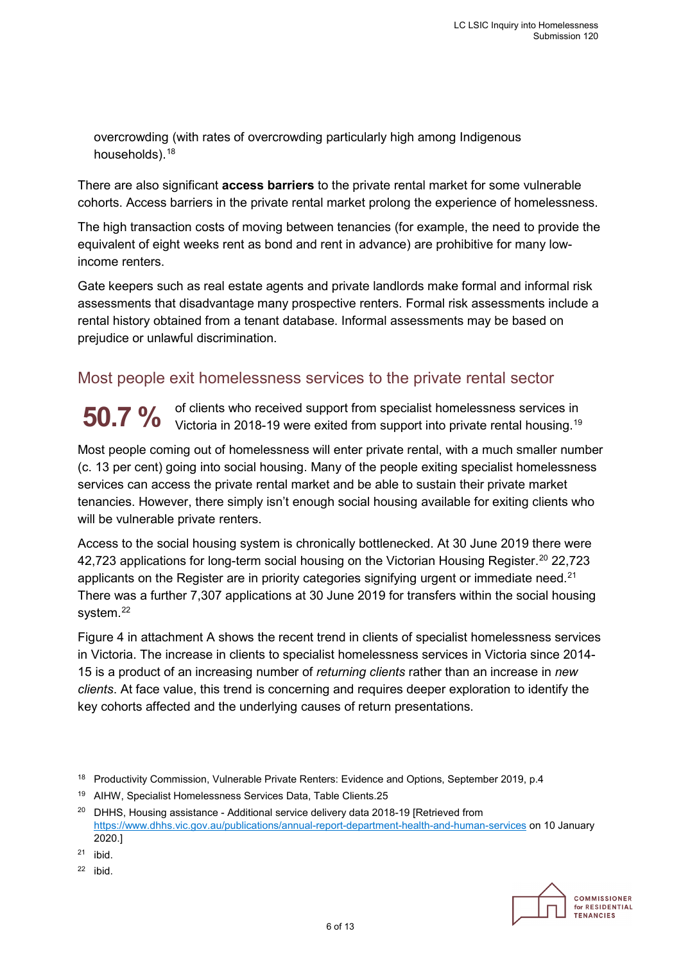overcrowding (with rates of overcrowding particularly high among Indigenous households).[18](#page-5-0)

There are also significant **access barriers** to the private rental market for some vulnerable cohorts. Access barriers in the private rental market prolong the experience of homelessness.

The high transaction costs of moving between tenancies (for example, the need to provide the equivalent of eight weeks rent as bond and rent in advance) are prohibitive for many lowincome renters.

Gate keepers such as real estate agents and private landlords make formal and informal risk assessments that disadvantage many prospective renters. Formal risk assessments include a rental history obtained from a tenant database. Informal assessments may be based on prejudice or unlawful discrimination.

### Most people exit homelessness services to the private rental sector

of clients who received support from specialist homelessness services in **50.7** % Of clients who received support from specialist homelessness services in Victoria in 2018-19 were exited from support into private rental housing.<sup>19</sup>

Most people coming out of homelessness will enter private rental, with a much smaller number (c. 13 per cent) going into social housing. Many of the people exiting specialist homelessness services can access the private rental market and be able to sustain their private market tenancies. However, there simply isn't enough social housing available for exiting clients who will be vulnerable private renters.

Access to the social housing system is chronically bottlenecked. At 30 June 2019 there were 42,723 applications for long-term social housing on the Victorian Housing Register.<sup>20</sup> 22,723 applicants on the Register are in priority categories signifying urgent or immediate need.<sup>[21](#page-5-3)</sup> There was a further 7,307 applications at 30 June 2019 for transfers within the social housing system.<sup>22</sup>

Figure 4 in attachment A shows the recent trend in clients of specialist homelessness services in Victoria. The increase in clients to specialist homelessness services in Victoria since 2014- 15 is a product of an increasing number of *returning clients* rather than an increase in *new clients*. At face value, this trend is concerning and requires deeper exploration to identify the key cohorts affected and the underlying causes of return presentations.



<span id="page-5-0"></span><sup>&</sup>lt;sup>18</sup> Productivity Commission, Vulnerable Private Renters: Evidence and Options, September 2019, p.4

<span id="page-5-1"></span><sup>19</sup> AIHW, Specialist Homelessness Services Data, Table Clients.25

<span id="page-5-2"></span> $20$  DHHS. Housing assistance - Additional service delivery data 2018-19 [Retrieved from <https://www.dhhs.vic.gov.au/publications/annual-report-department-health-and-human-services> on 10 January 2020.]

<span id="page-5-3"></span> $21$  ibid.

<span id="page-5-4"></span> $22$  ibid.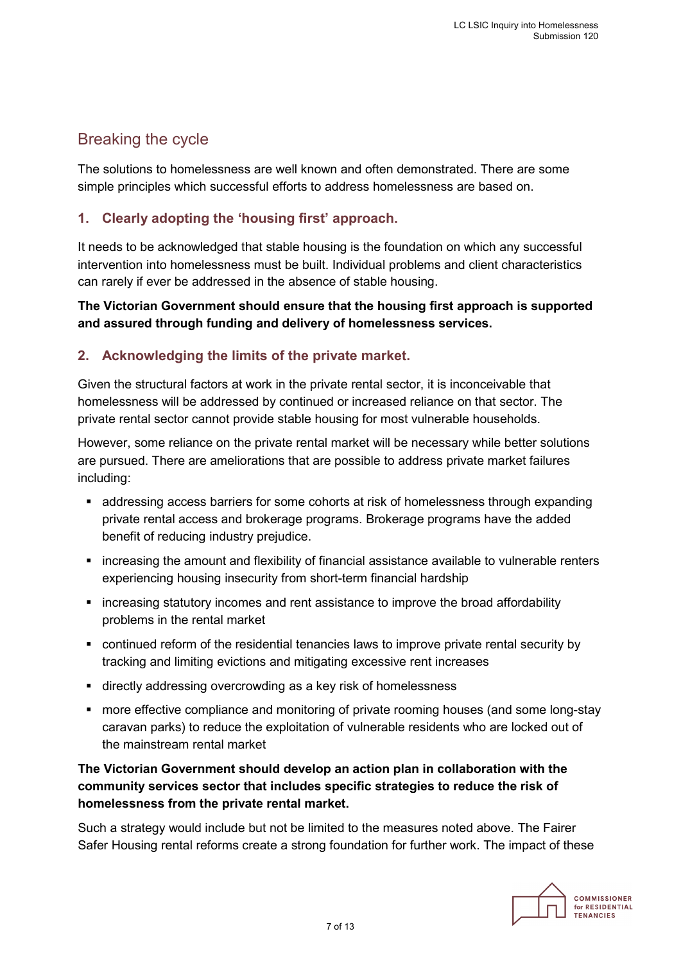### Breaking the cycle

The solutions to homelessness are well known and often demonstrated. There are some simple principles which successful efforts to address homelessness are based on.

### **1. Clearly adopting the 'housing first' approach.**

It needs to be acknowledged that stable housing is the foundation on which any successful intervention into homelessness must be built. Individual problems and client characteristics can rarely if ever be addressed in the absence of stable housing.

**The Victorian Government should ensure that the housing first approach is supported and assured through funding and delivery of homelessness services.**

### **2. Acknowledging the limits of the private market.**

Given the structural factors at work in the private rental sector, it is inconceivable that homelessness will be addressed by continued or increased reliance on that sector. The private rental sector cannot provide stable housing for most vulnerable households.

However, some reliance on the private rental market will be necessary while better solutions are pursued. There are ameliorations that are possible to address private market failures including:

- addressing access barriers for some cohorts at risk of homelessness through expanding private rental access and brokerage programs. Brokerage programs have the added benefit of reducing industry prejudice.
- increasing the amount and flexibility of financial assistance available to vulnerable renters experiencing housing insecurity from short-term financial hardship
- increasing statutory incomes and rent assistance to improve the broad affordability problems in the rental market
- continued reform of the residential tenancies laws to improve private rental security by tracking and limiting evictions and mitigating excessive rent increases
- directly addressing overcrowding as a key risk of homelessness
- **numore effective compliance and monitoring of private rooming houses (and some long-stay** caravan parks) to reduce the exploitation of vulnerable residents who are locked out of the mainstream rental market

### **The Victorian Government should develop an action plan in collaboration with the community services sector that includes specific strategies to reduce the risk of homelessness from the private rental market.**

Such a strategy would include but not be limited to the measures noted above. The Fairer Safer Housing rental reforms create a strong foundation for further work. The impact of these

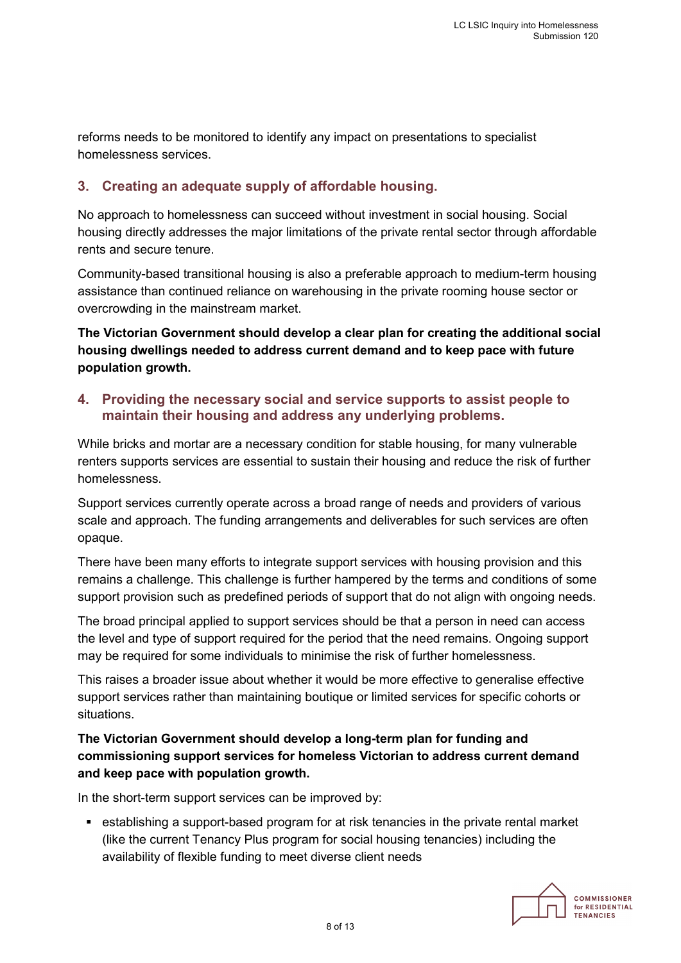reforms needs to be monitored to identify any impact on presentations to specialist homelessness services.

### **3. Creating an adequate supply of affordable housing.**

No approach to homelessness can succeed without investment in social housing. Social housing directly addresses the major limitations of the private rental sector through affordable rents and secure tenure.

Community-based transitional housing is also a preferable approach to medium-term housing assistance than continued reliance on warehousing in the private rooming house sector or overcrowding in the mainstream market.

**The Victorian Government should develop a clear plan for creating the additional social housing dwellings needed to address current demand and to keep pace with future population growth.**

#### **4. Providing the necessary social and service supports to assist people to maintain their housing and address any underlying problems.**

While bricks and mortar are a necessary condition for stable housing, for many vulnerable renters supports services are essential to sustain their housing and reduce the risk of further homelessness.

Support services currently operate across a broad range of needs and providers of various scale and approach. The funding arrangements and deliverables for such services are often opaque.

There have been many efforts to integrate support services with housing provision and this remains a challenge. This challenge is further hampered by the terms and conditions of some support provision such as predefined periods of support that do not align with ongoing needs.

The broad principal applied to support services should be that a person in need can access the level and type of support required for the period that the need remains. Ongoing support may be required for some individuals to minimise the risk of further homelessness.

This raises a broader issue about whether it would be more effective to generalise effective support services rather than maintaining boutique or limited services for specific cohorts or situations.

### **The Victorian Government should develop a long-term plan for funding and commissioning support services for homeless Victorian to address current demand and keep pace with population growth.**

In the short-term support services can be improved by:

 establishing a support-based program for at risk tenancies in the private rental market (like the current Tenancy Plus program for social housing tenancies) including the availability of flexible funding to meet diverse client needs



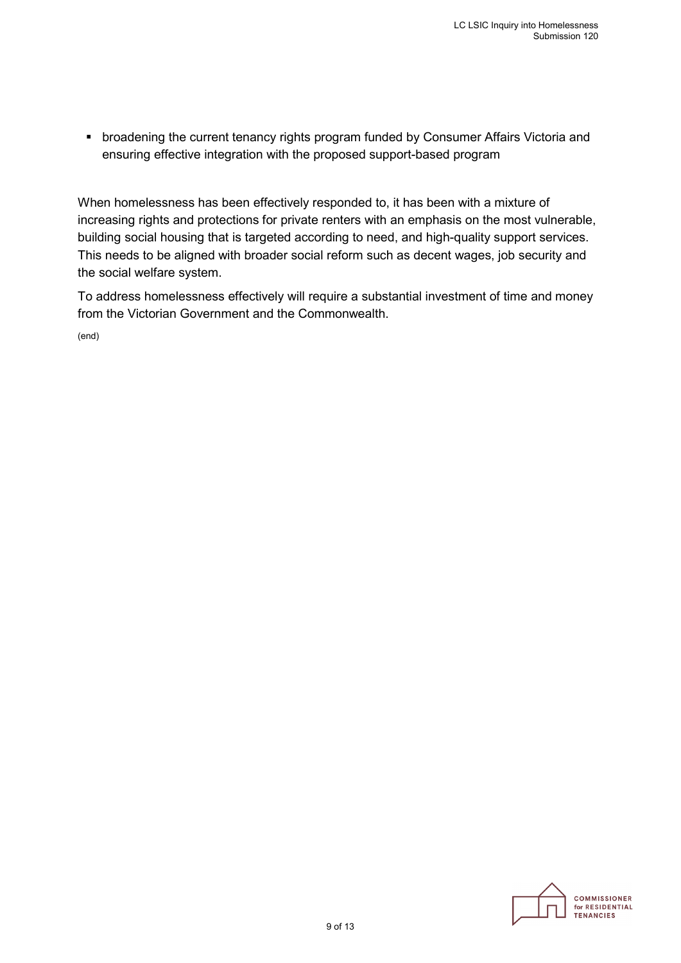**• broadening the current tenancy rights program funded by Consumer Affairs Victoria and** ensuring effective integration with the proposed support-based program

When homelessness has been effectively responded to, it has been with a mixture of increasing rights and protections for private renters with an emphasis on the most vulnerable, building social housing that is targeted according to need, and high-quality support services. This needs to be aligned with broader social reform such as decent wages, job security and the social welfare system.

To address homelessness effectively will require a substantial investment of time and money from the Victorian Government and the Commonwealth.

(end)

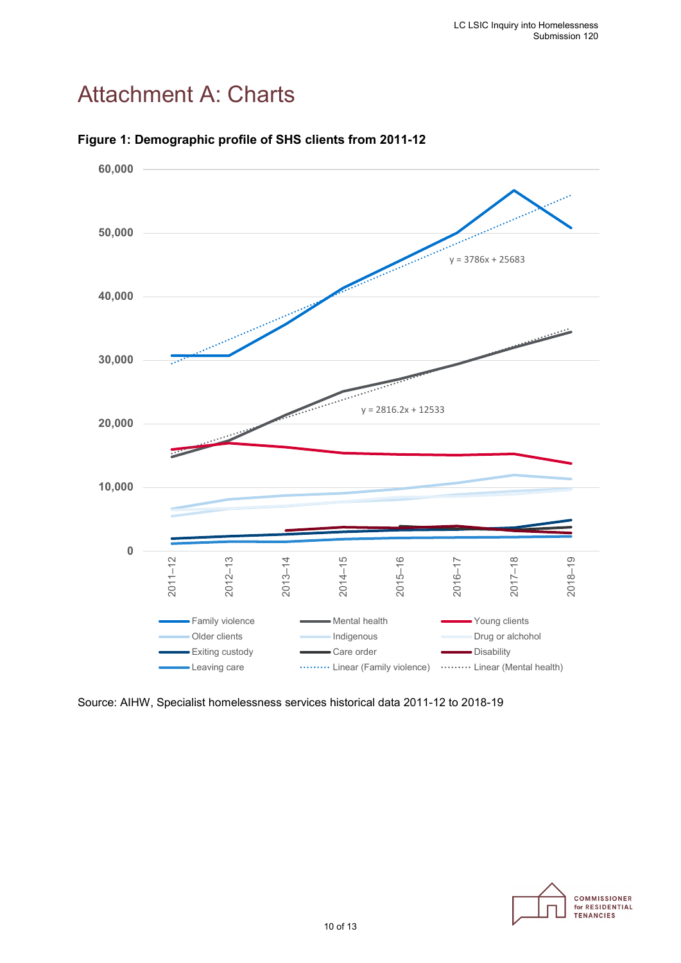# Attachment A: Charts



#### **Figure 1: Demographic profile of SHS clients from 2011-12**



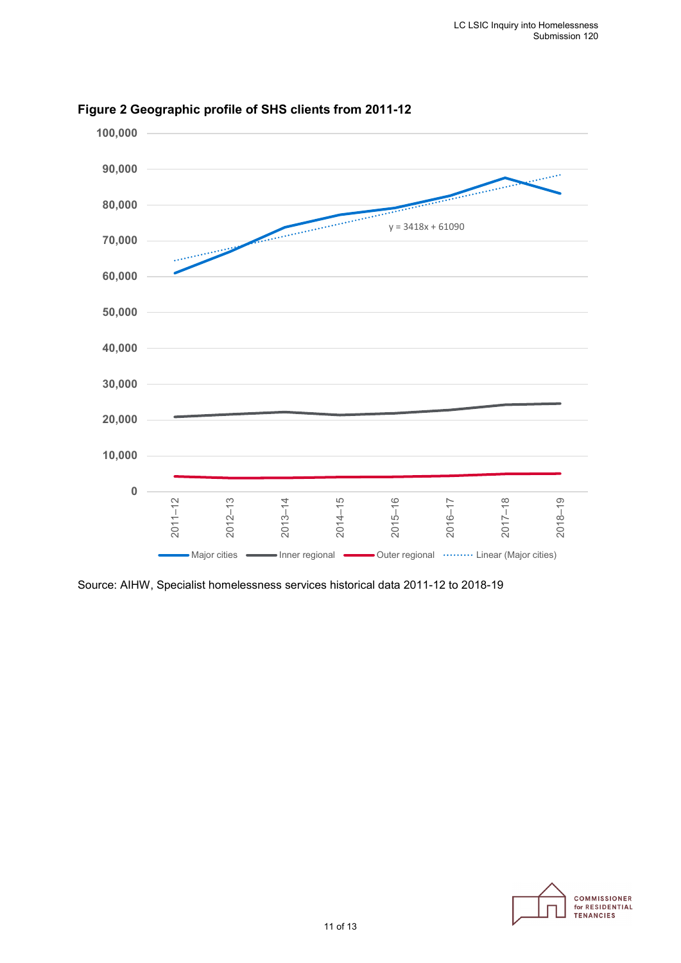

### **Figure 2 Geographic profile of SHS clients from 2011-12**

Source: AIHW, Specialist homelessness services historical data 2011-12 to 2018-19

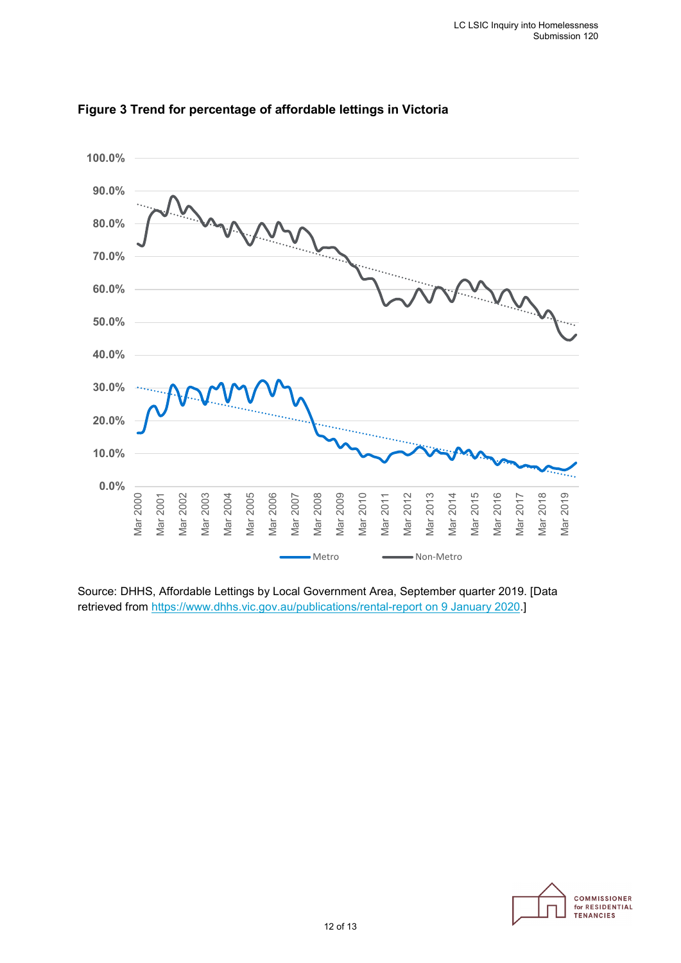



Source: DHHS, Affordable Lettings by Local Government Area, September quarter 2019. [Data retrieved from [https://www.dhhs.vic.gov.au/publications/rental-report on 9 January 2020.](https://www.dhhs.vic.gov.au/publications/rental-report%20on%209%20January%202020)]